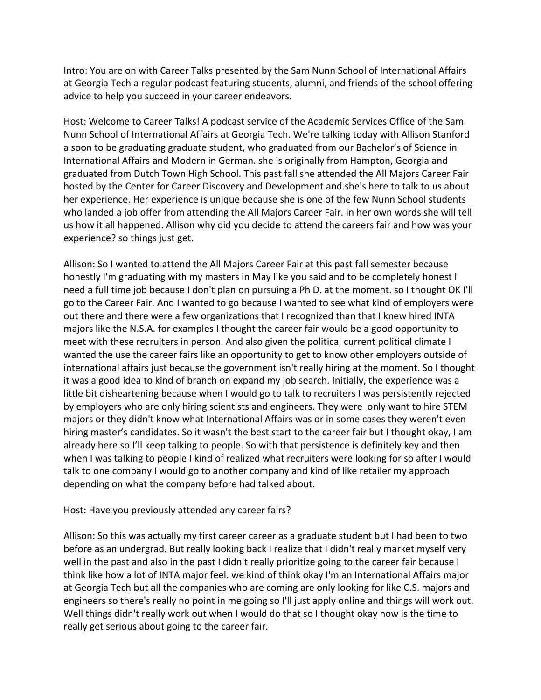Intro: You are on with Career Talks presented by the Sam Nunn School of International Affairs at Georgia Tech a regular podcast featuring students, alumni, and friends of the school offering advice to help you succeed in your career endeavors.

Host: Welcome to Career Talks! A podcast service of the Academic Services Office of the Sam Nunn School of International Affairs at Georgia Tech. We're talking today with Allison Stanford a soon to be graduating graduate student, who graduated from our Bachelor's of Science in International Affairs and Modern in German. she is originally from Hampton, Georgia and graduated from Dutch Town High School. This past fall she attended the All Majors Career Fair hosted by the Center for Career Discovery and Development and she's here to talk to us about her experience. Her experience is unique because she is one of the few Nunn School students who landed a job offer from attending the All Majors Career Fair. In her own words she will tell us how it all happened. Allison why did you decide to attend the careers fair and how was your experience? so things just get.

Allison: So I wanted to attend the All Majors Career Fair at this past fall semester because honestly I'm graduating with my masters in May like you said and to be completely honest I need a full time job because I don't plan on pursuing a Ph D. at the moment. so I thought OK I'll go to the Career Fair. And I wanted to go because I wanted to see what kind of employers were out there and there were a few organizations that I recognized than that I knew hired INTA majors like the N.S.A. for examples I thought the career fair would be a good opportunity to meet with these recruiters in person. And also given the political current political climate I wanted the use the career fairs like an opportunity to get to know other employers outside of international affairs just because the government isn't really hiring at the moment. So I thought it was a good idea to kind of branch on expand my job search. Initially, the experience was a little bit disheartening because when I would go to talk to recruiters I was persistently rejected by employers who are only hiring scientists and engineers. They were only want to hire STEM majors or they didn't know what International Affairs was or in some cases they weren't even hiring master's candidates. So it wasn't the best start to the career fair but I thought okay, I am already here so I'll keep talking to people. So with that persistence is definitely key and then when I was talking to people I kind of realized what recruiters were looking for so after I would talk to one company I would go to another company and kind of like retailer my approach depending on what the company before had talked about.

## Host: Have you previously attended any career fairs?

Allison: So this was actually my first career career as a graduate student but I had been to two before as an undergrad. But really looking back I realize that I didn't really market myself very well in the past and also in the past I didn't really prioritize going to the career fair because I think like how a lot of INTA major feel. we kind of think okay I'm an International Affairs major at Georgia Tech but all the companies who are coming are only looking for like C.S. majors and engineers so there's really no point in me going so I'll just apply online and things will work out. Well things didn't really work out when I would do that so I thought okay now is the time to really get serious about going to the career fair.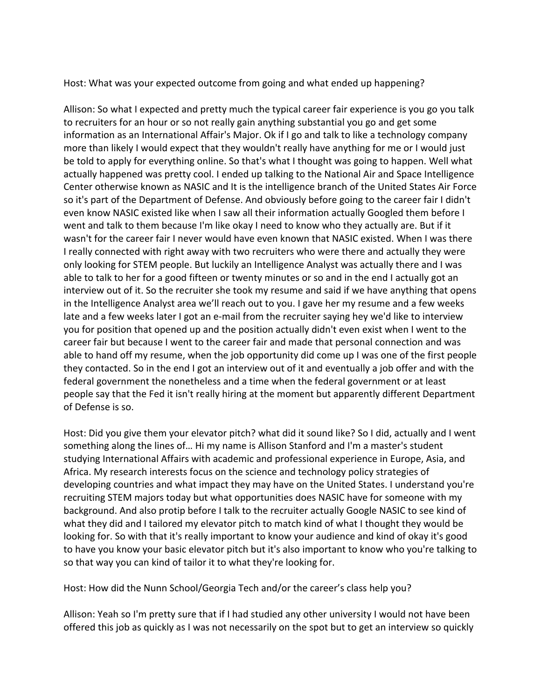Host: What was your expected outcome from going and what ended up happening?

Allison: So what I expected and pretty much the typical career fair experience is you go you talk to recruiters for an hour or so not really gain anything substantial you go and get some information as an International Affair's Major. Ok if I go and talk to like a technology company more than likely I would expect that they wouldn't really have anything for me or I would just be told to apply for everything online. So that's what I thought was going to happen. Well what actually happened was pretty cool. I ended up talking to the National Air and Space Intelligence Center otherwise known as NASIC and It is the intelligence branch of the United States Air Force so it's part of the Department of Defense. And obviously before going to the career fair I didn't even know NASIC existed like when I saw all their information actually Googled them before I went and talk to them because I'm like okay I need to know who they actually are. But if it wasn't for the career fair I never would have even known that NASIC existed. When I was there I really connected with right away with two recruiters who were there and actually they were only looking for STEM people. But luckily an Intelligence Analyst was actually there and I was able to talk to her for a good fifteen or twenty minutes or so and in the end I actually got an interview out of it. So the recruiter she took my resume and said if we have anything that opens in the Intelligence Analyst area we'll reach out to you. I gave her my resume and a few weeks late and a few weeks later I got an e-mail from the recruiter saying hey we'd like to interview you for position that opened up and the position actually didn't even exist when I went to the career fair but because I went to the career fair and made that personal connection and was able to hand off my resume, when the job opportunity did come up I was one of the first people they contacted. So in the end I got an interview out of it and eventually a job offer and with the federal government the nonetheless and a time when the federal government or at least people say that the Fed it isn't really hiring at the moment but apparently different Department of Defense is so.

Host: Did you give them your elevator pitch? what did it sound like? So I did, actually and I went something along the lines of... Hi my name is Allison Stanford and I'm a master's student studying International Affairs with academic and professional experience in Europe, Asia, and Africa. My research interests focus on the science and technology policy strategies of developing countries and what impact they may have on the United States. I understand you're recruiting STEM majors today but what opportunities does NASIC have for someone with my background. And also protip before I talk to the recruiter actually Google NASIC to see kind of what they did and I tailored my elevator pitch to match kind of what I thought they would be looking for. So with that it's really important to know your audience and kind of okay it's good to have you know your basic elevator pitch but it's also important to know who you're talking to so that way you can kind of tailor it to what they're looking for.

Host: How did the Nunn School/Georgia Tech and/or the career's class help you?

Allison: Yeah so I'm pretty sure that if I had studied any other university I would not have been offered this job as quickly as I was not necessarily on the spot but to get an interview so quickly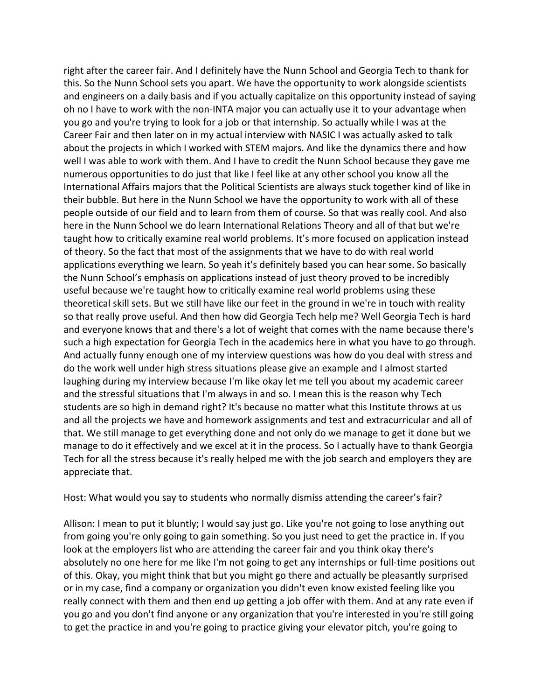right after the career fair. And I definitely have the Nunn School and Georgia Tech to thank for this. So the Nunn School sets you apart. We have the opportunity to work alongside scientists and engineers on a daily basis and if you actually capitalize on this opportunity instead of saying oh no I have to work with the non-INTA major you can actually use it to your advantage when you go and you're trying to look for a job or that internship. So actually while I was at the Career Fair and then later on in my actual interview with NASIC I was actually asked to talk about the projects in which I worked with STEM majors. And like the dynamics there and how well I was able to work with them. And I have to credit the Nunn School because they gave me numerous opportunities to do just that like I feel like at any other school you know all the International Affairs majors that the Political Scientists are always stuck together kind of like in their bubble. But here in the Nunn School we have the opportunity to work with all of these people outside of our field and to learn from them of course. So that was really cool. And also here in the Nunn School we do learn International Relations Theory and all of that but we're taught how to critically examine real world problems. It's more focused on application instead of theory. So the fact that most of the assignments that we have to do with real world applications everything we learn. So yeah it's definitely based you can hear some. So basically the Nunn School's emphasis on applications instead of just theory proved to be incredibly useful because we're taught how to critically examine real world problems using these theoretical skill sets. But we still have like our feet in the ground in we're in touch with reality so that really prove useful. And then how did Georgia Tech help me? Well Georgia Tech is hard and everyone knows that and there's a lot of weight that comes with the name because there's such a high expectation for Georgia Tech in the academics here in what you have to go through. And actually funny enough one of my interview questions was how do you deal with stress and do the work well under high stress situations please give an example and I almost started laughing during my interview because I'm like okay let me tell you about my academic career and the stressful situations that I'm always in and so. I mean this is the reason why Tech students are so high in demand right? It's because no matter what this Institute throws at us and all the projects we have and homework assignments and test and extracurricular and all of that. We still manage to get everything done and not only do we manage to get it done but we manage to do it effectively and we excel at it in the process. So I actually have to thank Georgia Tech for all the stress because it's really helped me with the job search and employers they are appreciate that.

Host: What would you say to students who normally dismiss attending the career's fair?

Allison: I mean to put it bluntly; I would say just go. Like you're not going to lose anything out from going you're only going to gain something. So you just need to get the practice in. If you look at the employers list who are attending the career fair and you think okay there's absolutely no one here for me like I'm not going to get any internships or full-time positions out of this. Okay, you might think that but you might go there and actually be pleasantly surprised or in my case, find a company or organization you didn't even know existed feeling like you really connect with them and then end up getting a job offer with them. And at any rate even if you go and you don't find anyone or any organization that you're interested in you're still going to get the practice in and you're going to practice giving your elevator pitch, you're going to